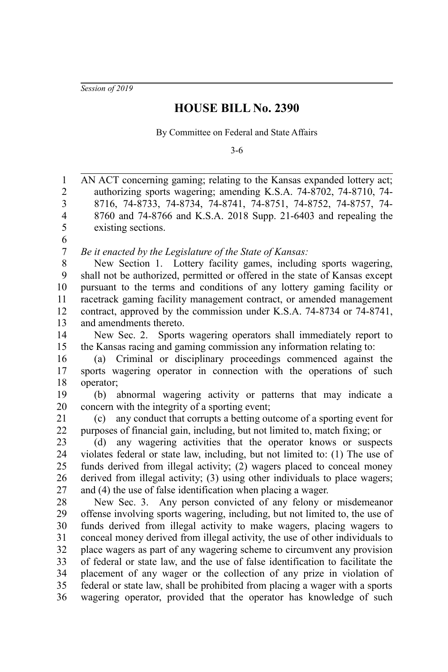*Session of 2019*

## **HOUSE BILL No. 2390**

By Committee on Federal and State Affairs

3-6

AN ACT concerning gaming; relating to the Kansas expanded lottery act; authorizing sports wagering; amending K.S.A. 74-8702, 74-8710, 74- 8716, 74-8733, 74-8734, 74-8741, 74-8751, 74-8752, 74-8757, 74- 8760 and 74-8766 and K.S.A. 2018 Supp. 21-6403 and repealing the existing sections. *Be it enacted by the Legislature of the State of Kansas:* New Section 1. Lottery facility games, including sports wagering, shall not be authorized, permitted or offered in the state of Kansas except pursuant to the terms and conditions of any lottery gaming facility or racetrack gaming facility management contract, or amended management contract, approved by the commission under K.S.A. 74-8734 or 74-8741, and amendments thereto. New Sec. 2. Sports wagering operators shall immediately report to the Kansas racing and gaming commission any information relating to: (a) Criminal or disciplinary proceedings commenced against the sports wagering operator in connection with the operations of such operator; (b) abnormal wagering activity or patterns that may indicate a concern with the integrity of a sporting event; (c) any conduct that corrupts a betting outcome of a sporting event for purposes of financial gain, including, but not limited to, match fixing; or (d) any wagering activities that the operator knows or suspects violates federal or state law, including, but not limited to: (1) The use of funds derived from illegal activity; (2) wagers placed to conceal money derived from illegal activity; (3) using other individuals to place wagers; and (4) the use of false identification when placing a wager. New Sec. 3. Any person convicted of any felony or misdemeanor offense involving sports wagering, including, but not limited to, the use of funds derived from illegal activity to make wagers, placing wagers to conceal money derived from illegal activity, the use of other individuals to place wagers as part of any wagering scheme to circumvent any provision of federal or state law, and the use of false identification to facilitate the placement of any wager or the collection of any prize in violation of federal or state law, shall be prohibited from placing a wager with a sports wagering operator, provided that the operator has knowledge of such 1 2 3 4 5 6 7 8 9 10 11 12 13 14 15 16 17 18 19 20 21 22 23  $24$ 25 26 27 28 29 30 31 32 33 34 35 36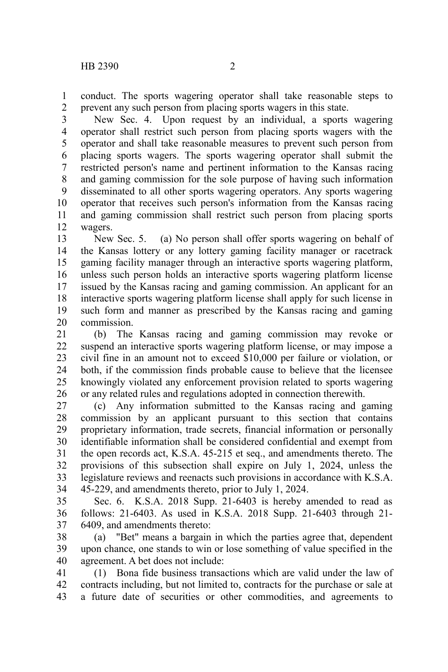conduct. The sports wagering operator shall take reasonable steps to prevent any such person from placing sports wagers in this state. 1 2

New Sec. 4. Upon request by an individual, a sports wagering operator shall restrict such person from placing sports wagers with the operator and shall take reasonable measures to prevent such person from placing sports wagers. The sports wagering operator shall submit the restricted person's name and pertinent information to the Kansas racing and gaming commission for the sole purpose of having such information disseminated to all other sports wagering operators. Any sports wagering operator that receives such person's information from the Kansas racing and gaming commission shall restrict such person from placing sports wagers. 3 4 5 6 7 8 9 10 11 12

New Sec. 5. (a) No person shall offer sports wagering on behalf of the Kansas lottery or any lottery gaming facility manager or racetrack gaming facility manager through an interactive sports wagering platform, unless such person holds an interactive sports wagering platform license issued by the Kansas racing and gaming commission. An applicant for an interactive sports wagering platform license shall apply for such license in such form and manner as prescribed by the Kansas racing and gaming commission. 13 14 15 16 17 18 19 20

(b) The Kansas racing and gaming commission may revoke or suspend an interactive sports wagering platform license, or may impose a civil fine in an amount not to exceed \$10,000 per failure or violation, or both, if the commission finds probable cause to believe that the licensee knowingly violated any enforcement provision related to sports wagering or any related rules and regulations adopted in connection therewith. 21 22 23 24 25 26

(c) Any information submitted to the Kansas racing and gaming commission by an applicant pursuant to this section that contains proprietary information, trade secrets, financial information or personally identifiable information shall be considered confidential and exempt from the open records act, K.S.A. 45-215 et seq., and amendments thereto. The provisions of this subsection shall expire on July 1, 2024, unless the legislature reviews and reenacts such provisions in accordance with K.S.A. 45-229, and amendments thereto, prior to July 1, 2024. 27 28 29 30 31 32 33 34

Sec. 6. K.S.A. 2018 Supp. 21-6403 is hereby amended to read as follows: 21-6403. As used in K.S.A. 2018 Supp. 21-6403 through 21- 6409, and amendments thereto: 35 36 37

(a) "Bet" means a bargain in which the parties agree that, dependent upon chance, one stands to win or lose something of value specified in the agreement. A bet does not include: 38 39 40

(1) Bona fide business transactions which are valid under the law of contracts including, but not limited to, contracts for the purchase or sale at a future date of securities or other commodities, and agreements to 41 42 43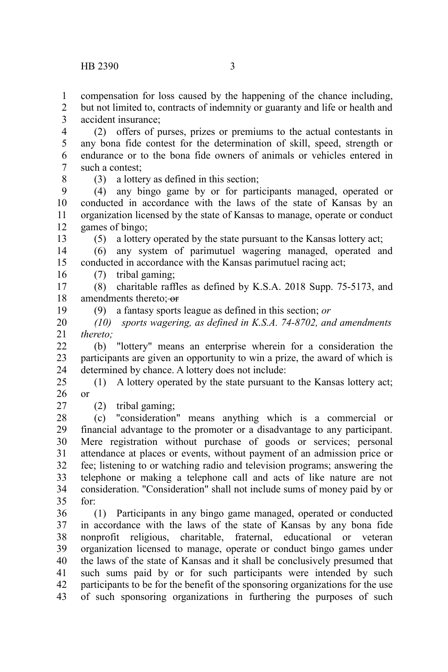compensation for loss caused by the happening of the chance including, 1

but not limited to, contracts of indemnity or guaranty and life or health and accident insurance;  $\mathcal{D}$ 3

(2) offers of purses, prizes or premiums to the actual contestants in any bona fide contest for the determination of skill, speed, strength or endurance or to the bona fide owners of animals or vehicles entered in such a contest: 4 5 6 7

8

19

27

(3) a lottery as defined in this section;

(4) any bingo game by or for participants managed, operated or conducted in accordance with the laws of the state of Kansas by an organization licensed by the state of Kansas to manage, operate or conduct games of bingo; 9 10 11 12 13

(5) a lottery operated by the state pursuant to the Kansas lottery act;

(6) any system of parimutuel wagering managed, operated and conducted in accordance with the Kansas parimutuel racing act; 14 15

(7) tribal gaming; 16

(8) charitable raffles as defined by K.S.A. 2018 Supp. 75-5173, and amendments thereto:-or 17 18

(9) a fantasy sports league as defined in this section; *or*

*(10) sports wagering, as defined in K.S.A. 74-8702, and amendments thereto;* 20 21

(b) "lottery" means an enterprise wherein for a consideration the participants are given an opportunity to win a prize, the award of which is determined by chance. A lottery does not include:  $22$ 23 24

(1) A lottery operated by the state pursuant to the Kansas lottery act; or 25 26

(2) tribal gaming;

(c) "consideration" means anything which is a commercial or financial advantage to the promoter or a disadvantage to any participant. Mere registration without purchase of goods or services; personal attendance at places or events, without payment of an admission price or fee; listening to or watching radio and television programs; answering the telephone or making a telephone call and acts of like nature are not consideration. "Consideration" shall not include sums of money paid by or for: 28 29 30 31 32 33 34 35

(1) Participants in any bingo game managed, operated or conducted in accordance with the laws of the state of Kansas by any bona fide nonprofit religious, charitable, fraternal, educational or veteran organization licensed to manage, operate or conduct bingo games under the laws of the state of Kansas and it shall be conclusively presumed that such sums paid by or for such participants were intended by such participants to be for the benefit of the sponsoring organizations for the use of such sponsoring organizations in furthering the purposes of such 36 37 38 39 40 41 42 43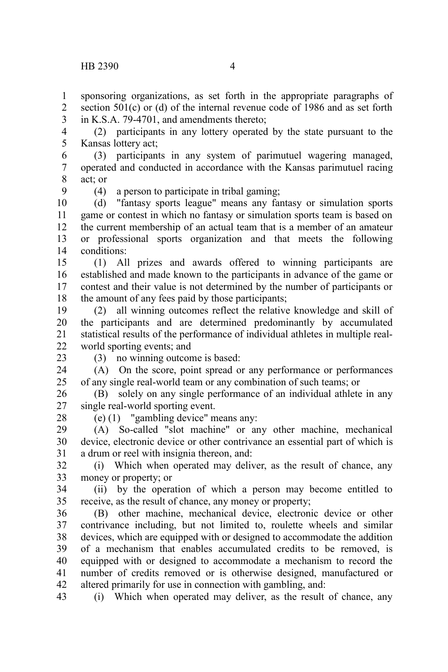sponsoring organizations, as set forth in the appropriate paragraphs of section  $501(c)$  or (d) of the internal revenue code of 1986 and as set forth in K.S.A. 79-4701, and amendments thereto; 1 2 3

(2) participants in any lottery operated by the state pursuant to the Kansas lottery act; 4 5

(3) participants in any system of parimutuel wagering managed, operated and conducted in accordance with the Kansas parimutuel racing act; or 6 7 8

9

(4) a person to participate in tribal gaming;

(d) "fantasy sports league" means any fantasy or simulation sports game or contest in which no fantasy or simulation sports team is based on the current membership of an actual team that is a member of an amateur or professional sports organization and that meets the following conditions: 10 11 12 13 14

(1) All prizes and awards offered to winning participants are established and made known to the participants in advance of the game or contest and their value is not determined by the number of participants or the amount of any fees paid by those participants; 15 16 17 18

(2) all winning outcomes reflect the relative knowledge and skill of the participants and are determined predominantly by accumulated statistical results of the performance of individual athletes in multiple realworld sporting events; and 19 20 21 22

23

(3) no winning outcome is based:

(A) On the score, point spread or any performance or performances of any single real-world team or any combination of such teams; or 24 25

(B) solely on any single performance of an individual athlete in any single real-world sporting event. 26 27

28

(e) (1) "gambling device" means any:

(A) So-called "slot machine" or any other machine, mechanical device, electronic device or other contrivance an essential part of which is a drum or reel with insignia thereon, and: 29 30 31

(i) Which when operated may deliver, as the result of chance, any money or property; or 32 33

(ii) by the operation of which a person may become entitled to receive, as the result of chance, any money or property; 34 35

(B) other machine, mechanical device, electronic device or other contrivance including, but not limited to, roulette wheels and similar devices, which are equipped with or designed to accommodate the addition of a mechanism that enables accumulated credits to be removed, is equipped with or designed to accommodate a mechanism to record the number of credits removed or is otherwise designed, manufactured or altered primarily for use in connection with gambling, and: 36 37 38 39 40 41 42

(i) Which when operated may deliver, as the result of chance, any 43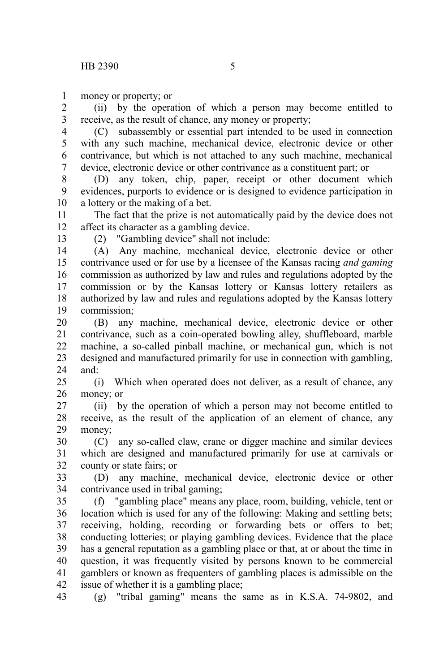money or property; or 1

(ii) by the operation of which a person may become entitled to receive, as the result of chance, any money or property; 2 3

(C) subassembly or essential part intended to be used in connection with any such machine, mechanical device, electronic device or other contrivance, but which is not attached to any such machine, mechanical device, electronic device or other contrivance as a constituent part; or 4 5 6 7

(D) any token, chip, paper, receipt or other document which evidences, purports to evidence or is designed to evidence participation in a lottery or the making of a bet. 8 9 10

The fact that the prize is not automatically paid by the device does not affect its character as a gambling device. 11 12 13

(2) "Gambling device" shall not include:

(A) Any machine, mechanical device, electronic device or other contrivance used or for use by a licensee of the Kansas racing *and gaming* commission as authorized by law and rules and regulations adopted by the commission or by the Kansas lottery or Kansas lottery retailers as authorized by law and rules and regulations adopted by the Kansas lottery commission; 14 15 16 17 18 19

(B) any machine, mechanical device, electronic device or other contrivance, such as a coin-operated bowling alley, shuffleboard, marble machine, a so-called pinball machine, or mechanical gun, which is not designed and manufactured primarily for use in connection with gambling, and: 20 21 22 23 24

(i) Which when operated does not deliver, as a result of chance, any money; or 25 26

(ii) by the operation of which a person may not become entitled to receive, as the result of the application of an element of chance, any money; 27 28 29

(C) any so-called claw, crane or digger machine and similar devices which are designed and manufactured primarily for use at carnivals or county or state fairs; or 30 31 32

(D) any machine, mechanical device, electronic device or other contrivance used in tribal gaming; 33 34

(f) "gambling place" means any place, room, building, vehicle, tent or location which is used for any of the following: Making and settling bets; receiving, holding, recording or forwarding bets or offers to bet; conducting lotteries; or playing gambling devices. Evidence that the place has a general reputation as a gambling place or that, at or about the time in question, it was frequently visited by persons known to be commercial gamblers or known as frequenters of gambling places is admissible on the issue of whether it is a gambling place; 35 36 37 38 39 40 41 42

(g) "tribal gaming" means the same as in K.S.A. 74-9802, and 43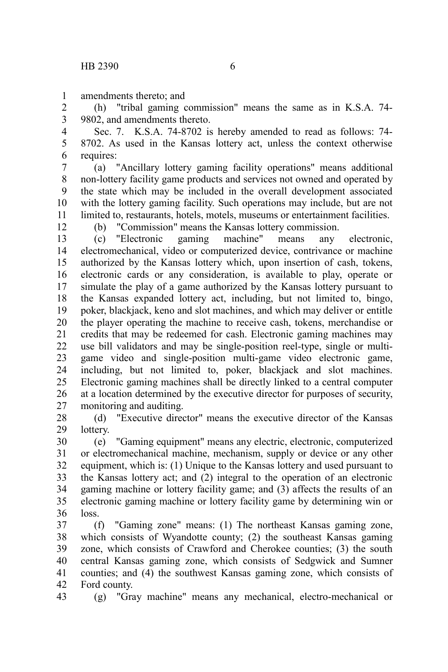amendments thereto; and 1

(h) "tribal gaming commission" means the same as in K.S.A. 74- 9802, and amendments thereto. 2 3

Sec. 7. K.S.A. 74-8702 is hereby amended to read as follows: 74- 8702. As used in the Kansas lottery act, unless the context otherwise requires: 4 5 6

(a) "Ancillary lottery gaming facility operations" means additional non-lottery facility game products and services not owned and operated by the state which may be included in the overall development associated with the lottery gaming facility. Such operations may include, but are not limited to, restaurants, hotels, motels, museums or entertainment facilities. 7 8 9 10 11

12

(b) "Commission" means the Kansas lottery commission.

(c) "Electronic gaming machine" means any electronic, electromechanical, video or computerized device, contrivance or machine authorized by the Kansas lottery which, upon insertion of cash, tokens, electronic cards or any consideration, is available to play, operate or simulate the play of a game authorized by the Kansas lottery pursuant to the Kansas expanded lottery act, including, but not limited to, bingo, poker, blackjack, keno and slot machines, and which may deliver or entitle the player operating the machine to receive cash, tokens, merchandise or credits that may be redeemed for cash. Electronic gaming machines may use bill validators and may be single-position reel-type, single or multigame video and single-position multi-game video electronic game, including, but not limited to, poker, blackjack and slot machines. Electronic gaming machines shall be directly linked to a central computer at a location determined by the executive director for purposes of security, monitoring and auditing. 13 14 15 16 17 18 19 20 21 22 23 24 25 26 27

(d) "Executive director" means the executive director of the Kansas lottery. 28 29

(e) "Gaming equipment" means any electric, electronic, computerized or electromechanical machine, mechanism, supply or device or any other equipment, which is: (1) Unique to the Kansas lottery and used pursuant to the Kansas lottery act; and (2) integral to the operation of an electronic gaming machine or lottery facility game; and (3) affects the results of an electronic gaming machine or lottery facility game by determining win or loss. 30 31 32 33 34 35 36

(f) "Gaming zone" means: (1) The northeast Kansas gaming zone, which consists of Wyandotte county; (2) the southeast Kansas gaming zone, which consists of Crawford and Cherokee counties; (3) the south central Kansas gaming zone, which consists of Sedgwick and Sumner counties; and (4) the southwest Kansas gaming zone, which consists of Ford county. 37 38 39 40 41 42

(g) "Gray machine" means any mechanical, electro-mechanical or 43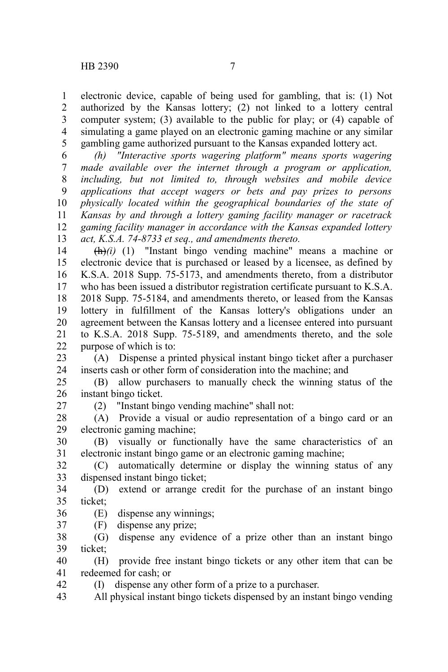electronic device, capable of being used for gambling, that is: (1) Not authorized by the Kansas lottery; (2) not linked to a lottery central computer system; (3) available to the public for play; or (4) capable of simulating a game played on an electronic gaming machine or any similar gambling game authorized pursuant to the Kansas expanded lottery act. 1 2 3 4 5

*(h) "Interactive sports wagering platform" means sports wagering made available over the internet through a program or application, including, but not limited to, through websites and mobile device applications that accept wagers or bets and pay prizes to persons physically located within the geographical boundaries of the state of Kansas by and through a lottery gaming facility manager or racetrack gaming facility manager in accordance with the Kansas expanded lottery act, K.S.A. 74-8733 et seq., and amendments thereto.* 6 7 8 9 10 11 12 13

(h)*(i)* (1) "Instant bingo vending machine" means a machine or electronic device that is purchased or leased by a licensee, as defined by K.S.A. 2018 Supp. 75-5173, and amendments thereto, from a distributor who has been issued a distributor registration certificate pursuant to K.S.A. 2018 Supp. 75-5184, and amendments thereto, or leased from the Kansas lottery in fulfillment of the Kansas lottery's obligations under an agreement between the Kansas lottery and a licensee entered into pursuant to K.S.A. 2018 Supp. 75-5189, and amendments thereto, and the sole purpose of which is to: 14 15 16 17 18 19 20 21 22

(A) Dispense a printed physical instant bingo ticket after a purchaser inserts cash or other form of consideration into the machine; and 23 24

(B) allow purchasers to manually check the winning status of the instant bingo ticket. 25 26

27

(2) "Instant bingo vending machine" shall not:

(A) Provide a visual or audio representation of a bingo card or an electronic gaming machine; 28 29

(B) visually or functionally have the same characteristics of an electronic instant bingo game or an electronic gaming machine; 30 31

(C) automatically determine or display the winning status of any dispensed instant bingo ticket; 32 33

(D) extend or arrange credit for the purchase of an instant bingo ticket; 34 35

(E) dispense any winnings; 36

(F) dispense any prize; 37

(G) dispense any evidence of a prize other than an instant bingo ticket; 38 39

(H) provide free instant bingo tickets or any other item that can be redeemed for cash; or 40 41

(I) dispense any other form of a prize to a purchaser. 42

All physical instant bingo tickets dispensed by an instant bingo vending 43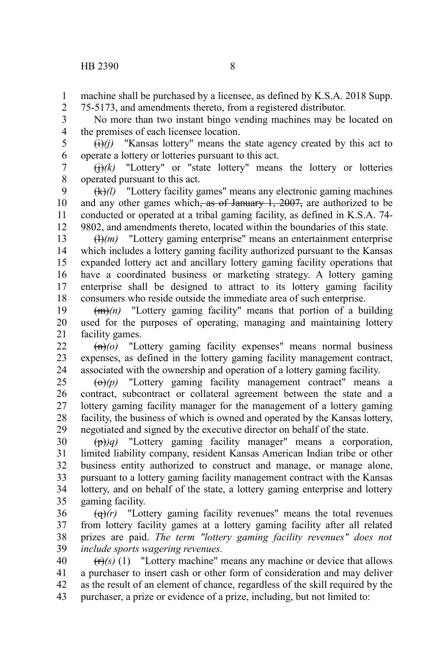machine shall be purchased by a licensee, as defined by K.S.A. 2018 Supp. 75-5173, and amendments thereto, from a registered distributor. 1 2

No more than two instant bingo vending machines may be located on the premises of each licensee location. 3 4

 $(i)(j)$  "Kansas lottery" means the state agency created by this act to operate a lottery or lotteries pursuant to this act. 5 6

 $\left(\frac{1}{k}\right)(k)$  "Lottery" or "state lottery" means the lottery or lotteries operated pursuant to this act. 7 8

(k)*(l)* "Lottery facility games" means any electronic gaming machines and any other games which, as of January  $1, 2007$ , are authorized to be conducted or operated at a tribal gaming facility, as defined in K.S.A. 74- 9802, and amendments thereto, located within the boundaries of this state. 9 10 11 12

 $\left(\frac{H}{m}\right)$  "Lottery gaming enterprise" means an entertainment enterprise which includes a lottery gaming facility authorized pursuant to the Kansas expanded lottery act and ancillary lottery gaming facility operations that have a coordinated business or marketing strategy. A lottery gaming enterprise shall be designed to attract to its lottery gaming facility consumers who reside outside the immediate area of such enterprise. 13 14 15 16 17 18

(m)*(n)* "Lottery gaming facility" means that portion of a building used for the purposes of operating, managing and maintaining lottery facility games. 19 20 21

(n)*(o)* "Lottery gaming facility expenses" means normal business expenses, as defined in the lottery gaming facility management contract, associated with the ownership and operation of a lottery gaming facility. 22 23 24

(o)*(p)* "Lottery gaming facility management contract" means a contract, subcontract or collateral agreement between the state and a lottery gaming facility manager for the management of a lottery gaming facility, the business of which is owned and operated by the Kansas lottery, negotiated and signed by the executive director on behalf of the state. 25 26 27 28 29

 $(\theta)$ *q*) "Lottery gaming facility manager" means a corporation, limited liability company, resident Kansas American Indian tribe or other business entity authorized to construct and manage, or manage alone, pursuant to a lottery gaming facility management contract with the Kansas lottery, and on behalf of the state, a lottery gaming enterprise and lottery gaming facility. 30 31 32 33 34 35

(q)*(r)* "Lottery gaming facility revenues" means the total revenues from lottery facility games at a lottery gaming facility after all related prizes are paid. *The term "lottery gaming facility revenues" does not include sports wagering revenues.* 36 37 38 39

 $(r)$ <sup>(r)</sup> $(s)$  (1) "Lottery machine" means any machine or device that allows a purchaser to insert cash or other form of consideration and may deliver as the result of an element of chance, regardless of the skill required by the purchaser, a prize or evidence of a prize, including, but not limited to: 40 41 42 43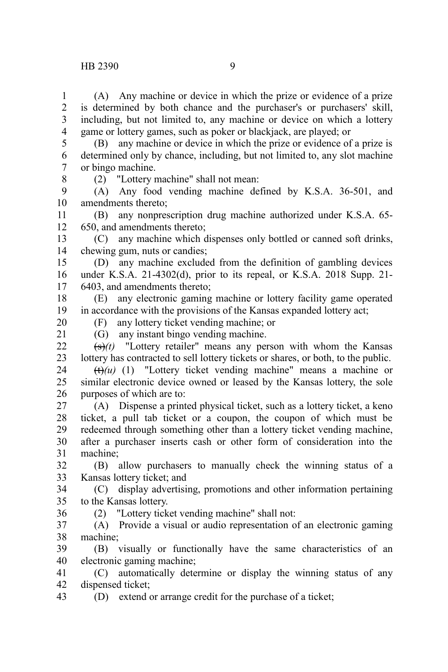(A) Any machine or device in which the prize or evidence of a prize is determined by both chance and the purchaser's or purchasers' skill, including, but not limited to, any machine or device on which a lottery game or lottery games, such as poker or blackjack, are played; or 1 2 3 4

(B) any machine or device in which the prize or evidence of a prize is determined only by chance, including, but not limited to, any slot machine or bingo machine. 5 6 7

8

(2) "Lottery machine" shall not mean:

(A) Any food vending machine defined by K.S.A. 36-501, and amendments thereto; 9 10

(B) any nonprescription drug machine authorized under K.S.A. 65- 650, and amendments thereto; 11 12

(C) any machine which dispenses only bottled or canned soft drinks, chewing gum, nuts or candies; 13 14

(D) any machine excluded from the definition of gambling devices under K.S.A. 21-4302(d), prior to its repeal, or K.S.A. 2018 Supp. 21- 6403, and amendments thereto; 15 16 17

(E) any electronic gaming machine or lottery facility game operated in accordance with the provisions of the Kansas expanded lottery act; 18 19

20

36

(F) any lottery ticket vending machine; or

(G) any instant bingo vending machine.  $\overrightarrow{(s)}(t)$  "Lottery retailer" means any person with whom the Kansas lottery has contracted to sell lottery tickets or shares, or both, to the public. 21  $22$ 23

 $(t)$ (u) (1) "Lottery ticket vending machine" means a machine or similar electronic device owned or leased by the Kansas lottery, the sole purposes of which are to: 24 25 26

(A) Dispense a printed physical ticket, such as a lottery ticket, a keno ticket, a pull tab ticket or a coupon, the coupon of which must be redeemed through something other than a lottery ticket vending machine, after a purchaser inserts cash or other form of consideration into the machine; 27 28 29 30 31

(B) allow purchasers to manually check the winning status of a Kansas lottery ticket; and 32 33

(C) display advertising, promotions and other information pertaining to the Kansas lottery. 34 35

(2) "Lottery ticket vending machine" shall not:

(A) Provide a visual or audio representation of an electronic gaming machine; 37 38

(B) visually or functionally have the same characteristics of an electronic gaming machine; 39 40

(C) automatically determine or display the winning status of any dispensed ticket; 41 42

(D) extend or arrange credit for the purchase of a ticket; 43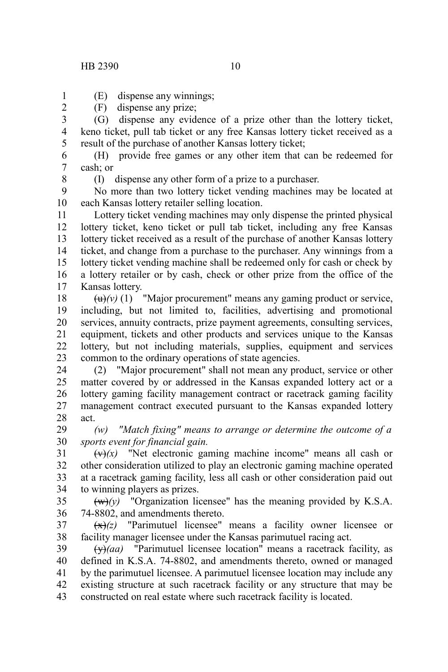## HB 2390 10

(E) dispense any winnings;

(F) dispense any prize;

(G) dispense any evidence of a prize other than the lottery ticket, keno ticket, pull tab ticket or any free Kansas lottery ticket received as a result of the purchase of another Kansas lottery ticket; 3 4 5

(H) provide free games or any other item that can be redeemed for cash; or 6 7

8

1 2

(I) dispense any other form of a prize to a purchaser.

No more than two lottery ticket vending machines may be located at each Kansas lottery retailer selling location. 9 10

Lottery ticket vending machines may only dispense the printed physical lottery ticket, keno ticket or pull tab ticket, including any free Kansas lottery ticket received as a result of the purchase of another Kansas lottery ticket, and change from a purchase to the purchaser. Any winnings from a lottery ticket vending machine shall be redeemed only for cash or check by a lottery retailer or by cash, check or other prize from the office of the Kansas lottery. 11 12 13 14 15 16 17

 $\left(\frac{u}{v}\right)(v)$  (1) "Major procurement" means any gaming product or service, including, but not limited to, facilities, advertising and promotional services, annuity contracts, prize payment agreements, consulting services, equipment, tickets and other products and services unique to the Kansas lottery, but not including materials, supplies, equipment and services common to the ordinary operations of state agencies. 18 19 20 21 22 23

(2) "Major procurement" shall not mean any product, service or other matter covered by or addressed in the Kansas expanded lottery act or a lottery gaming facility management contract or racetrack gaming facility management contract executed pursuant to the Kansas expanded lottery act. 24 25 26 27 28

*(w) "Match fixing" means to arrange or determine the outcome of a sports event for financial gain.* 29 30

 $(x)$  "Net electronic gaming machine income" means all cash or other consideration utilized to play an electronic gaming machine operated at a racetrack gaming facility, less all cash or other consideration paid out to winning players as prizes. 31 32 33 34

 $(w)(y)$  "Organization licensee" has the meaning provided by K.S.A. 74-8802, and amendments thereto. 35 36

 $\left(\frac{x}{x}\right)(z)$  "Parimutuel licensee" means a facility owner licensee or facility manager licensee under the Kansas parimutuel racing act. 37 38

(y)*(aa)* "Parimutuel licensee location" means a racetrack facility, as defined in K.S.A. 74-8802, and amendments thereto, owned or managed by the parimutuel licensee. A parimutuel licensee location may include any existing structure at such racetrack facility or any structure that may be constructed on real estate where such racetrack facility is located. 39 40 41 42 43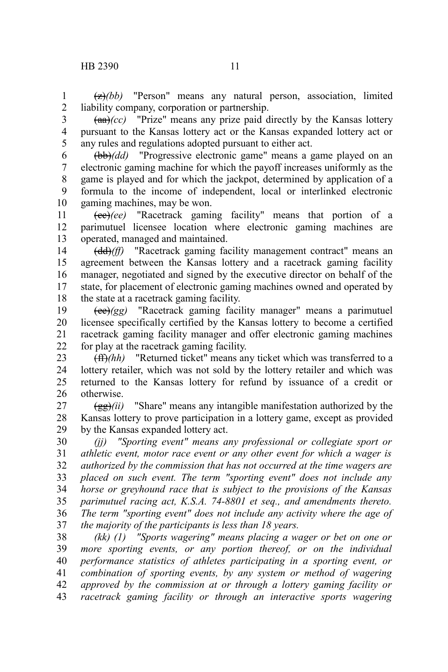(z)*(bb)* "Person" means any natural person, association, limited liability company, corporation or partnership. 1 2

(aa)*(cc)* "Prize" means any prize paid directly by the Kansas lottery pursuant to the Kansas lottery act or the Kansas expanded lottery act or any rules and regulations adopted pursuant to either act. 3 4 5

(bb)*(dd)* "Progressive electronic game" means a game played on an electronic gaming machine for which the payoff increases uniformly as the game is played and for which the jackpot, determined by application of a formula to the income of independent, local or interlinked electronic gaming machines, may be won. 6 7 8 9 10

(cc)*(ee)* "Racetrack gaming facility" means that portion of a parimutuel licensee location where electronic gaming machines are operated, managed and maintained. 11 12 13

(dd)*(ff)* "Racetrack gaming facility management contract" means an agreement between the Kansas lottery and a racetrack gaming facility manager, negotiated and signed by the executive director on behalf of the state, for placement of electronic gaming machines owned and operated by the state at a racetrack gaming facility. 14 15 16 17 18

(ee)*(gg)* "Racetrack gaming facility manager" means a parimutuel licensee specifically certified by the Kansas lottery to become a certified racetrack gaming facility manager and offer electronic gaming machines for play at the racetrack gaming facility. 19 20 21 22

(ff)*(hh)* "Returned ticket" means any ticket which was transferred to a lottery retailer, which was not sold by the lottery retailer and which was returned to the Kansas lottery for refund by issuance of a credit or otherwise. 23 24 25 26

(gg)*(ii)* "Share" means any intangible manifestation authorized by the Kansas lottery to prove participation in a lottery game, except as provided by the Kansas expanded lottery act. 27 28 29

*(jj) "Sporting event" means any professional or collegiate sport or athletic event, motor race event or any other event for which a wager is authorized by the commission that has not occurred at the time wagers are placed on such event. The term "sporting event" does not include any horse or greyhound race that is subject to the provisions of the Kansas parimutuel racing act, K.S.A. 74-8801 et seq., and amendments thereto. The term "sporting event" does not include any activity where the age of the majority of the participants is less than 18 years.* 30 31 32 33 34 35 36 37

*(kk) (1) "Sports wagering" means placing a wager or bet on one or more sporting events, or any portion thereof, or on the individual performance statistics of athletes participating in a sporting event, or combination of sporting events, by any system or method of wagering approved by the commission at or through a lottery gaming facility or racetrack gaming facility or through an interactive sports wagering* 38 39 40 41 42 43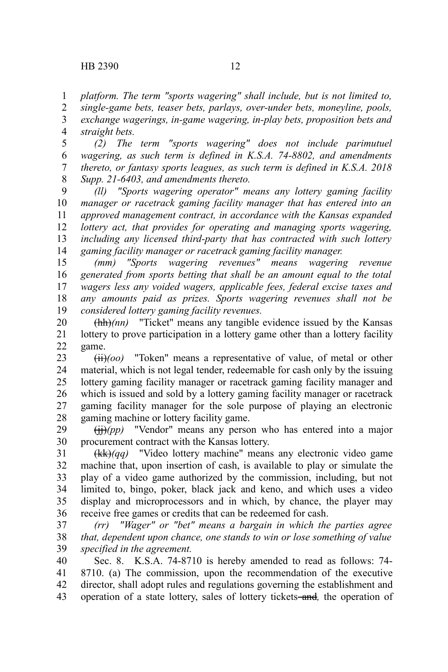*platform. The term "sports wagering" shall include, but is not limited to,* 1

*single-game bets, teaser bets, parlays, over-under bets, moneyline, pools, exchange wagerings, in-game wagering, in-play bets, proposition bets and straight bets.* 2 3 4

*(2) The term "sports wagering" does not include parimutuel wagering, as such term is defined in K.S.A. 74-8802, and amendments thereto, or fantasy sports leagues, as such term is defined in K.S.A. 2018 Supp. 21-6403, and amendments thereto.* 5 6 7 8

*(ll) "Sports wagering operator" means any lottery gaming facility manager or racetrack gaming facility manager that has entered into an approved management contract, in accordance with the Kansas expanded lottery act, that provides for operating and managing sports wagering, including any licensed third-party that has contracted with such lottery gaming facility manager or racetrack gaming facility manager.* 9 10 11 12 13 14

*(mm) "Sports wagering revenues" means wagering revenue generated from sports betting that shall be an amount equal to the total wagers less any voided wagers, applicable fees, federal excise taxes and any amounts paid as prizes. Sports wagering revenues shall not be considered lottery gaming facility revenues.* 15 16 17 18 19

(hh)*(nn)* "Ticket" means any tangible evidence issued by the Kansas lottery to prove participation in a lottery game other than a lottery facility game. 20 21 22

(ii)*(oo)* "Token" means a representative of value, of metal or other material, which is not legal tender, redeemable for cash only by the issuing lottery gaming facility manager or racetrack gaming facility manager and which is issued and sold by a lottery gaming facility manager or racetrack gaming facility manager for the sole purpose of playing an electronic gaming machine or lottery facility game. 23 24 25 26 27 28

 $(ii)$ (pp) "Vendor" means any person who has entered into a major procurement contract with the Kansas lottery. 29 30

(kk)*(qq)* "Video lottery machine" means any electronic video game machine that, upon insertion of cash, is available to play or simulate the play of a video game authorized by the commission, including, but not limited to, bingo, poker, black jack and keno, and which uses a video display and microprocessors and in which, by chance, the player may receive free games or credits that can be redeemed for cash. 31 32 33 34 35 36

*(rr) "Wager" or "bet" means a bargain in which the parties agree that, dependent upon chance, one stands to win or lose something of value specified in the agreement.* 37 38 39

Sec. 8. K.S.A. 74-8710 is hereby amended to read as follows: 74- 8710. (a) The commission, upon the recommendation of the executive director, shall adopt rules and regulations governing the establishment and operation of a state lottery, sales of lottery tickets and*,* the operation of 40 41 42 43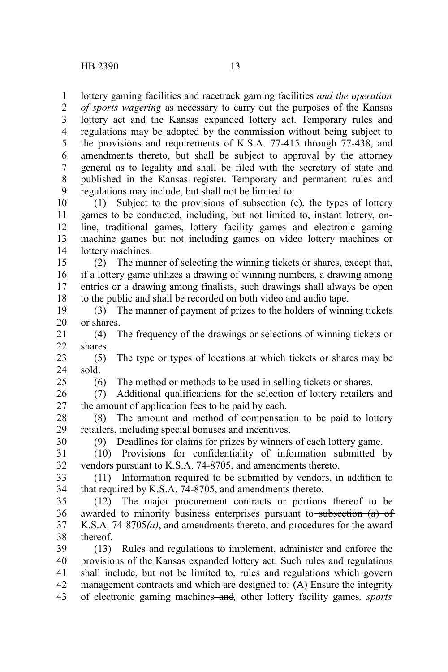lottery gaming facilities and racetrack gaming facilities *and the operation* 1

*of sports wagering* as necessary to carry out the purposes of the Kansas lottery act and the Kansas expanded lottery act. Temporary rules and regulations may be adopted by the commission without being subject to the provisions and requirements of K.S.A. 77-415 through 77-438, and amendments thereto, but shall be subject to approval by the attorney general as to legality and shall be filed with the secretary of state and published in the Kansas register. Temporary and permanent rules and regulations may include, but shall not be limited to: 2 3 4 5 6 7 8 9

(1) Subject to the provisions of subsection (c), the types of lottery games to be conducted, including, but not limited to, instant lottery, online, traditional games, lottery facility games and electronic gaming machine games but not including games on video lottery machines or lottery machines. 10 11 12 13 14

(2) The manner of selecting the winning tickets or shares, except that, if a lottery game utilizes a drawing of winning numbers, a drawing among entries or a drawing among finalists, such drawings shall always be open to the public and shall be recorded on both video and audio tape. 15 16 17 18

(3) The manner of payment of prizes to the holders of winning tickets or shares. 19 20

(4) The frequency of the drawings or selections of winning tickets or shares. 21 22

(5) The type or types of locations at which tickets or shares may be sold. 23 24

25

(6) The method or methods to be used in selling tickets or shares.

(7) Additional qualifications for the selection of lottery retailers and the amount of application fees to be paid by each. 26 27

(8) The amount and method of compensation to be paid to lottery retailers, including special bonuses and incentives. 28 29

(9) Deadlines for claims for prizes by winners of each lottery game. 30

(10) Provisions for confidentiality of information submitted by vendors pursuant to K.S.A. 74-8705, and amendments thereto. 31 32

(11) Information required to be submitted by vendors, in addition to that required by K.S.A. 74-8705, and amendments thereto. 33 34

(12) The major procurement contracts or portions thereof to be awarded to minority business enterprises pursuant to subsection (a) of K.S.A. 74-8705*(a)*, and amendments thereto, and procedures for the award thereof. 35 36 37 38

(13) Rules and regulations to implement, administer and enforce the provisions of the Kansas expanded lottery act. Such rules and regulations shall include, but not be limited to, rules and regulations which govern management contracts and which are designed to*:* (A) Ensure the integrity of electronic gaming machines and*,* other lottery facility games*, sports* 39 40 41 42 43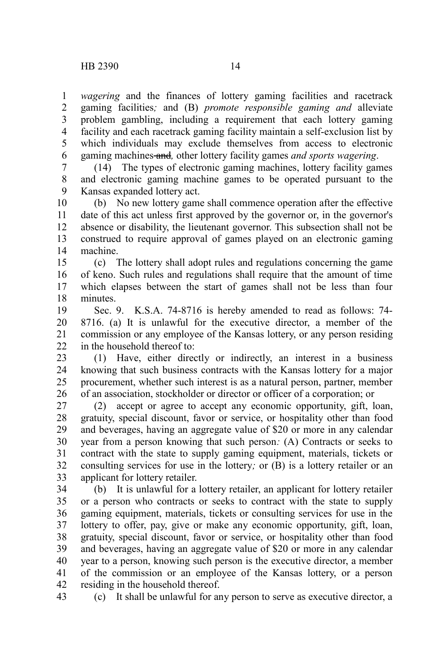*wagering* and the finances of lottery gaming facilities and racetrack gaming facilities*;* and (B) *promote responsible gaming and* alleviate problem gambling, including a requirement that each lottery gaming facility and each racetrack gaming facility maintain a self-exclusion list by which individuals may exclude themselves from access to electronic gaming machines and*,* other lottery facility games *and sports wagering*. 1 2 3 4 5 6

(14) The types of electronic gaming machines, lottery facility games and electronic gaming machine games to be operated pursuant to the Kansas expanded lottery act. 7 8 9

(b) No new lottery game shall commence operation after the effective date of this act unless first approved by the governor or, in the governor's absence or disability, the lieutenant governor. This subsection shall not be construed to require approval of games played on an electronic gaming machine. 10 11 12 13 14

(c) The lottery shall adopt rules and regulations concerning the game of keno. Such rules and regulations shall require that the amount of time which elapses between the start of games shall not be less than four minutes. 15 16 17 18

Sec. 9. K.S.A. 74-8716 is hereby amended to read as follows: 74- 8716. (a) It is unlawful for the executive director, a member of the commission or any employee of the Kansas lottery, or any person residing in the household thereof to: 19 20 21 22

(1) Have, either directly or indirectly, an interest in a business knowing that such business contracts with the Kansas lottery for a major procurement, whether such interest is as a natural person, partner, member of an association, stockholder or director or officer of a corporation; or 23 24 25 26

(2) accept or agree to accept any economic opportunity, gift, loan, gratuity, special discount, favor or service, or hospitality other than food and beverages, having an aggregate value of \$20 or more in any calendar year from a person knowing that such person*:* (A) Contracts or seeks to contract with the state to supply gaming equipment, materials, tickets or consulting services for use in the lottery*;* or (B) is a lottery retailer or an applicant for lottery retailer. 27 28 29 30 31 32 33

(b) It is unlawful for a lottery retailer, an applicant for lottery retailer or a person who contracts or seeks to contract with the state to supply gaming equipment, materials, tickets or consulting services for use in the lottery to offer, pay, give or make any economic opportunity, gift, loan, gratuity, special discount, favor or service, or hospitality other than food and beverages, having an aggregate value of \$20 or more in any calendar year to a person, knowing such person is the executive director, a member of the commission or an employee of the Kansas lottery, or a person residing in the household thereof. 34 35 36 37 38 39 40 41 42 43

(c) It shall be unlawful for any person to serve as executive director, a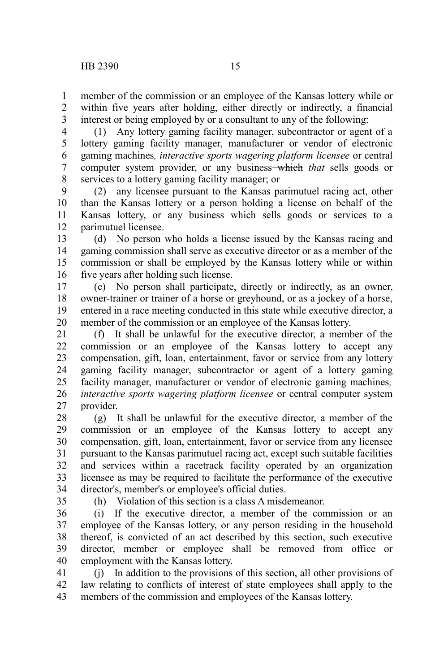member of the commission or an employee of the Kansas lottery while or within five years after holding, either directly or indirectly, a financial interest or being employed by or a consultant to any of the following: 1 2 3

(1) Any lottery gaming facility manager, subcontractor or agent of a lottery gaming facility manager, manufacturer or vendor of electronic gaming machines*, interactive sports wagering platform licensee* or central computer system provider, or any business-which *that* sells goods or services to a lottery gaming facility manager; or 4 5 6 7 8

(2) any licensee pursuant to the Kansas parimutuel racing act, other than the Kansas lottery or a person holding a license on behalf of the Kansas lottery, or any business which sells goods or services to a parimutuel licensee. 9 10 11 12

(d) No person who holds a license issued by the Kansas racing and gaming commission shall serve as executive director or as a member of the commission or shall be employed by the Kansas lottery while or within five years after holding such license. 13 14 15 16

(e) No person shall participate, directly or indirectly, as an owner, owner-trainer or trainer of a horse or greyhound, or as a jockey of a horse, entered in a race meeting conducted in this state while executive director, a member of the commission or an employee of the Kansas lottery. 17 18 19 20

(f) It shall be unlawful for the executive director, a member of the commission or an employee of the Kansas lottery to accept any compensation, gift, loan, entertainment, favor or service from any lottery gaming facility manager, subcontractor or agent of a lottery gaming facility manager, manufacturer or vendor of electronic gaming machines*, interactive sports wagering platform licensee* or central computer system provider. 21 22 23 24 25 26 27

(g) It shall be unlawful for the executive director, a member of the commission or an employee of the Kansas lottery to accept any compensation, gift, loan, entertainment, favor or service from any licensee pursuant to the Kansas parimutuel racing act, except such suitable facilities and services within a racetrack facility operated by an organization licensee as may be required to facilitate the performance of the executive director's, member's or employee's official duties. 28 29 30 31 32 33 34

35

(h) Violation of this section is a class A misdemeanor.

(i) If the executive director, a member of the commission or an employee of the Kansas lottery, or any person residing in the household thereof, is convicted of an act described by this section, such executive director, member or employee shall be removed from office or employment with the Kansas lottery. 36 37 38 39 40

(j) In addition to the provisions of this section, all other provisions of law relating to conflicts of interest of state employees shall apply to the members of the commission and employees of the Kansas lottery. 41 42 43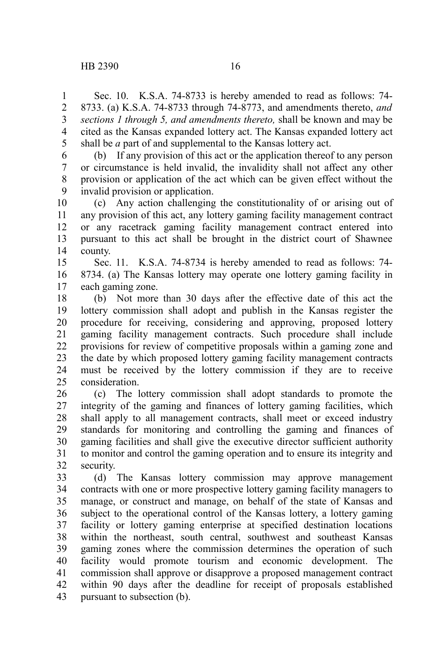Sec. 10. K.S.A. 74-8733 is hereby amended to read as follows: 74- 8733. (a) K.S.A. 74-8733 through 74-8773, and amendments thereto, *and sections 1 through 5, and amendments thereto,* shall be known and may be cited as the Kansas expanded lottery act. The Kansas expanded lottery act shall be *a* part of and supplemental to the Kansas lottery act. 1 2 3 4 5

(b) If any provision of this act or the application thereof to any person or circumstance is held invalid, the invalidity shall not affect any other provision or application of the act which can be given effect without the invalid provision or application. 6 7 8 9

(c) Any action challenging the constitutionality of or arising out of any provision of this act, any lottery gaming facility management contract or any racetrack gaming facility management contract entered into pursuant to this act shall be brought in the district court of Shawnee county. 10 11 12 13 14

Sec. 11. K.S.A. 74-8734 is hereby amended to read as follows: 74- 8734. (a) The Kansas lottery may operate one lottery gaming facility in each gaming zone. 15 16 17

(b) Not more than 30 days after the effective date of this act the lottery commission shall adopt and publish in the Kansas register the procedure for receiving, considering and approving, proposed lottery gaming facility management contracts. Such procedure shall include provisions for review of competitive proposals within a gaming zone and the date by which proposed lottery gaming facility management contracts must be received by the lottery commission if they are to receive consideration. 18 19 20 21 22 23 24 25

(c) The lottery commission shall adopt standards to promote the integrity of the gaming and finances of lottery gaming facilities, which shall apply to all management contracts, shall meet or exceed industry standards for monitoring and controlling the gaming and finances of gaming facilities and shall give the executive director sufficient authority to monitor and control the gaming operation and to ensure its integrity and security. 26 27 28 29 30 31 32

(d) The Kansas lottery commission may approve management contracts with one or more prospective lottery gaming facility managers to manage, or construct and manage, on behalf of the state of Kansas and subject to the operational control of the Kansas lottery, a lottery gaming facility or lottery gaming enterprise at specified destination locations within the northeast, south central, southwest and southeast Kansas gaming zones where the commission determines the operation of such facility would promote tourism and economic development. The commission shall approve or disapprove a proposed management contract within 90 days after the deadline for receipt of proposals established pursuant to subsection (b). 33 34 35 36 37 38 39 40 41 42 43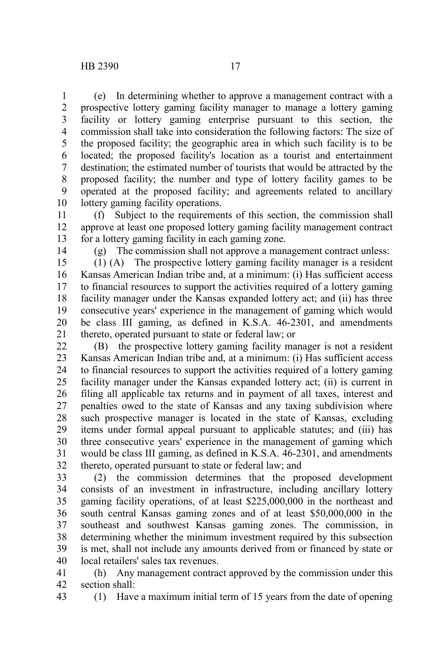(e) In determining whether to approve a management contract with a prospective lottery gaming facility manager to manage a lottery gaming facility or lottery gaming enterprise pursuant to this section, the commission shall take into consideration the following factors: The size of the proposed facility; the geographic area in which such facility is to be located; the proposed facility's location as a tourist and entertainment destination; the estimated number of tourists that would be attracted by the proposed facility; the number and type of lottery facility games to be operated at the proposed facility; and agreements related to ancillary lottery gaming facility operations. 1 2 3 4 5 6 7 8 9 10

(f) Subject to the requirements of this section, the commission shall approve at least one proposed lottery gaming facility management contract for a lottery gaming facility in each gaming zone. 11 12 13

14

(g) The commission shall not approve a management contract unless:

(1) (A) The prospective lottery gaming facility manager is a resident Kansas American Indian tribe and, at a minimum: (i) Has sufficient access to financial resources to support the activities required of a lottery gaming facility manager under the Kansas expanded lottery act; and (ii) has three consecutive years' experience in the management of gaming which would be class III gaming, as defined in K.S.A. 46-2301, and amendments thereto, operated pursuant to state or federal law; or 15 16 17 18 19 20 21

(B) the prospective lottery gaming facility manager is not a resident Kansas American Indian tribe and, at a minimum: (i) Has sufficient access to financial resources to support the activities required of a lottery gaming facility manager under the Kansas expanded lottery act; (ii) is current in filing all applicable tax returns and in payment of all taxes, interest and penalties owed to the state of Kansas and any taxing subdivision where such prospective manager is located in the state of Kansas, excluding items under formal appeal pursuant to applicable statutes; and (iii) has three consecutive years' experience in the management of gaming which would be class III gaming, as defined in K.S.A. 46-2301, and amendments thereto, operated pursuant to state or federal law; and 22 23 24 25 26 27 28 29 30 31 32

(2) the commission determines that the proposed development consists of an investment in infrastructure, including ancillary lottery gaming facility operations, of at least \$225,000,000 in the northeast and south central Kansas gaming zones and of at least \$50,000,000 in the southeast and southwest Kansas gaming zones. The commission, in determining whether the minimum investment required by this subsection is met, shall not include any amounts derived from or financed by state or local retailers' sales tax revenues. 33 34 35 36 37 38 39 40

(h) Any management contract approved by the commission under this section shall: 41 42

43

(1) Have a maximum initial term of 15 years from the date of opening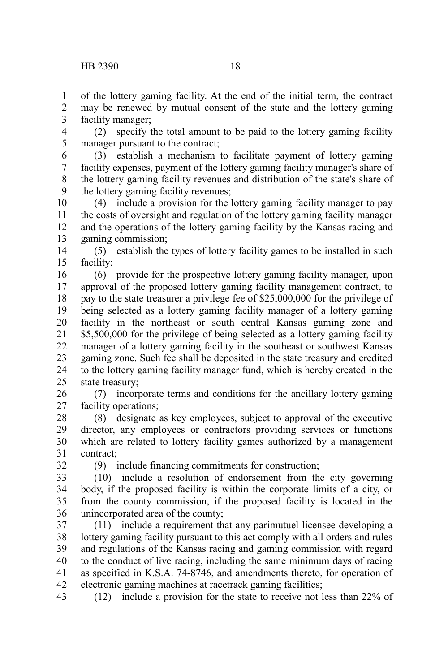of the lottery gaming facility. At the end of the initial term, the contract may be renewed by mutual consent of the state and the lottery gaming facility manager; 1 2 3

(2) specify the total amount to be paid to the lottery gaming facility manager pursuant to the contract; 4 5

(3) establish a mechanism to facilitate payment of lottery gaming facility expenses, payment of the lottery gaming facility manager's share of the lottery gaming facility revenues and distribution of the state's share of the lottery gaming facility revenues; 6 7 8 9

(4) include a provision for the lottery gaming facility manager to pay the costs of oversight and regulation of the lottery gaming facility manager and the operations of the lottery gaming facility by the Kansas racing and gaming commission; 10 11 12 13

(5) establish the types of lottery facility games to be installed in such facility; 14 15

(6) provide for the prospective lottery gaming facility manager, upon approval of the proposed lottery gaming facility management contract, to pay to the state treasurer a privilege fee of \$25,000,000 for the privilege of being selected as a lottery gaming facility manager of a lottery gaming facility in the northeast or south central Kansas gaming zone and \$5,500,000 for the privilege of being selected as a lottery gaming facility manager of a lottery gaming facility in the southeast or southwest Kansas gaming zone. Such fee shall be deposited in the state treasury and credited to the lottery gaming facility manager fund, which is hereby created in the state treasury; 16 17 18 19 20 21 22 23 24 25

(7) incorporate terms and conditions for the ancillary lottery gaming facility operations; 26 27

(8) designate as key employees, subject to approval of the executive director, any employees or contractors providing services or functions which are related to lottery facility games authorized by a management contract; 28 29 30 31

32

(9) include financing commitments for construction;

(10) include a resolution of endorsement from the city governing body, if the proposed facility is within the corporate limits of a city, or from the county commission, if the proposed facility is located in the unincorporated area of the county; 33 34 35 36

(11) include a requirement that any parimutuel licensee developing a lottery gaming facility pursuant to this act comply with all orders and rules and regulations of the Kansas racing and gaming commission with regard to the conduct of live racing, including the same minimum days of racing as specified in K.S.A. 74-8746, and amendments thereto, for operation of electronic gaming machines at racetrack gaming facilities; 37 38 39 40 41 42

(12) include a provision for the state to receive not less than 22% of 43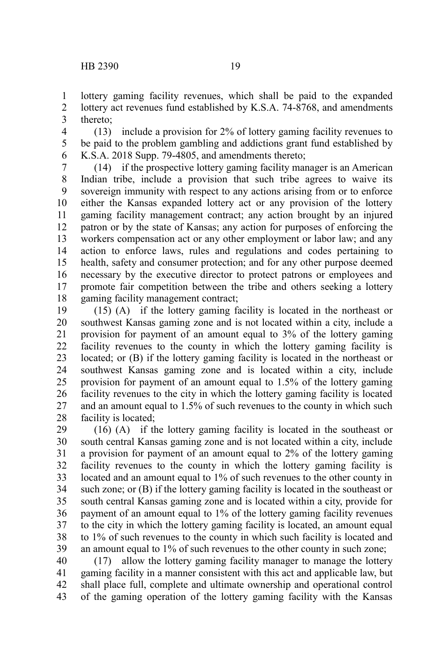lottery gaming facility revenues, which shall be paid to the expanded lottery act revenues fund established by K.S.A. 74-8768, and amendments thereto; 1 2 3

(13) include a provision for 2% of lottery gaming facility revenues to be paid to the problem gambling and addictions grant fund established by K.S.A. 2018 Supp. 79-4805, and amendments thereto; 4 5 6

(14) if the prospective lottery gaming facility manager is an American Indian tribe, include a provision that such tribe agrees to waive its sovereign immunity with respect to any actions arising from or to enforce either the Kansas expanded lottery act or any provision of the lottery gaming facility management contract; any action brought by an injured patron or by the state of Kansas; any action for purposes of enforcing the workers compensation act or any other employment or labor law; and any action to enforce laws, rules and regulations and codes pertaining to health, safety and consumer protection; and for any other purpose deemed necessary by the executive director to protect patrons or employees and promote fair competition between the tribe and others seeking a lottery gaming facility management contract; 7 8 9 10 11 12 13 14 15 16 17 18

(15) (A) if the lottery gaming facility is located in the northeast or southwest Kansas gaming zone and is not located within a city, include a provision for payment of an amount equal to 3% of the lottery gaming facility revenues to the county in which the lottery gaming facility is located; or (B) if the lottery gaming facility is located in the northeast or southwest Kansas gaming zone and is located within a city, include provision for payment of an amount equal to 1.5% of the lottery gaming facility revenues to the city in which the lottery gaming facility is located and an amount equal to 1.5% of such revenues to the county in which such facility is located; 19 20 21 22 23 24 25 26 27 28

(16) (A) if the lottery gaming facility is located in the southeast or south central Kansas gaming zone and is not located within a city, include a provision for payment of an amount equal to 2% of the lottery gaming facility revenues to the county in which the lottery gaming facility is located and an amount equal to 1% of such revenues to the other county in such zone; or (B) if the lottery gaming facility is located in the southeast or south central Kansas gaming zone and is located within a city, provide for payment of an amount equal to 1% of the lottery gaming facility revenues to the city in which the lottery gaming facility is located, an amount equal to 1% of such revenues to the county in which such facility is located and an amount equal to 1% of such revenues to the other county in such zone; 29 30 31 32 33 34 35 36 37 38 39

(17) allow the lottery gaming facility manager to manage the lottery gaming facility in a manner consistent with this act and applicable law, but shall place full, complete and ultimate ownership and operational control of the gaming operation of the lottery gaming facility with the Kansas 40 41 42 43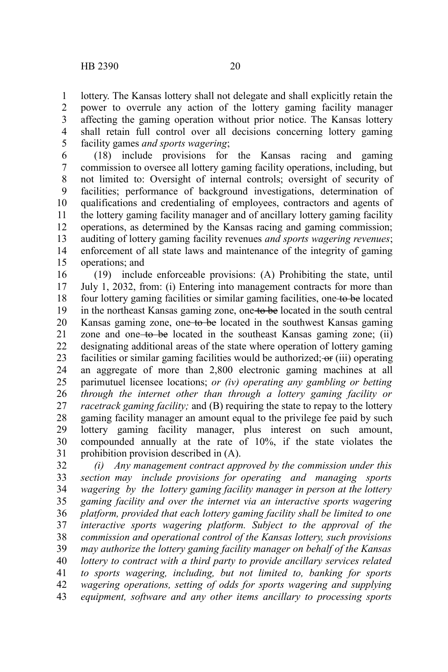lottery. The Kansas lottery shall not delegate and shall explicitly retain the power to overrule any action of the lottery gaming facility manager affecting the gaming operation without prior notice. The Kansas lottery shall retain full control over all decisions concerning lottery gaming facility games *and sports wagering*; 1 2 3 4 5

(18) include provisions for the Kansas racing and gaming commission to oversee all lottery gaming facility operations, including, but not limited to: Oversight of internal controls; oversight of security of facilities; performance of background investigations, determination of qualifications and credentialing of employees, contractors and agents of the lottery gaming facility manager and of ancillary lottery gaming facility operations, as determined by the Kansas racing and gaming commission; auditing of lottery gaming facility revenues *and sports wagering revenues*; enforcement of all state laws and maintenance of the integrity of gaming operations; and 6 7 8 9 10 11 12 13 14 15

(19) include enforceable provisions: (A) Prohibiting the state, until July 1, 2032, from: (i) Entering into management contracts for more than four lottery gaming facilities or similar gaming facilities, one to be located in the northeast Kansas gaming zone, one to be located in the south central Kansas gaming zone, one to be located in the southwest Kansas gaming zone and one to be located in the southeast Kansas gaming zone; (ii) designating additional areas of the state where operation of lottery gaming facilities or similar gaming facilities would be authorized;  $\sigma$  (iii) operating an aggregate of more than 2,800 electronic gaming machines at all parimutuel licensee locations; *or (iv) operating any gambling or betting through the internet other than through a lottery gaming facility or racetrack gaming facility;* and (B) requiring the state to repay to the lottery gaming facility manager an amount equal to the privilege fee paid by such lottery gaming facility manager, plus interest on such amount, compounded annually at the rate of 10%, if the state violates the prohibition provision described in (A). 16 17 18 19 20 21 22 23 24 25 26 27 28 29 30 31

*(i) Any management contract approved by the commission under this section may include provisions for operating and managing sports wagering by the lottery gaming facility manager in person at the lottery gaming facility and over the internet via an interactive sports wagering platform, provided that each lottery gaming facility shall be limited to one interactive sports wagering platform. Subject to the approval of the commission and operational control of the Kansas lottery, such provisions may authorize the lottery gaming facility manager on behalf of the Kansas lottery to contract with a third party to provide ancillary services related to sports wagering, including, but not limited to, banking for sports wagering operations, setting of odds for sports wagering and supplying equipment, software and any other items ancillary to processing sports* 32 33 34 35 36 37 38 39 40 41 42 43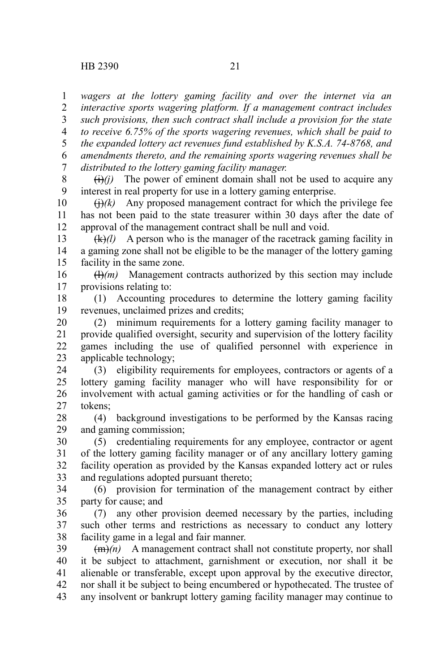*wagers at the lottery gaming facility and over the internet via an interactive sports wagering platform. If a management contract includes such provisions, then such contract shall include a provision for the state to receive 6.75% of the sports wagering revenues, which shall be paid to the expanded lottery act revenues fund established by K.S.A. 74-8768, and amendments thereto, and the remaining sports wagering revenues shall be distributed to the lottery gaming facility manager.* 1 2 3 4 5 6 7

 $\overline{(i)}$ *(i)* The power of eminent domain shall not be used to acquire any interest in real property for use in a lottery gaming enterprise. 8 9

 $\Theta(k)$  Any proposed management contract for which the privilege fee has not been paid to the state treasurer within 30 days after the date of approval of the management contract shall be null and void. 10 11 12

(k)*(l)* A person who is the manager of the racetrack gaming facility in a gaming zone shall not be eligible to be the manager of the lottery gaming facility in the same zone. 13 14 15

 $(H)(m)$  Management contracts authorized by this section may include provisions relating to: 16 17

(1) Accounting procedures to determine the lottery gaming facility revenues, unclaimed prizes and credits; 18 19

(2) minimum requirements for a lottery gaming facility manager to provide qualified oversight, security and supervision of the lottery facility games including the use of qualified personnel with experience in applicable technology; 20 21 22 23

(3) eligibility requirements for employees, contractors or agents of a lottery gaming facility manager who will have responsibility for or involvement with actual gaming activities or for the handling of cash or tokens; 24 25 26 27

(4) background investigations to be performed by the Kansas racing and gaming commission; 28 29

(5) credentialing requirements for any employee, contractor or agent of the lottery gaming facility manager or of any ancillary lottery gaming facility operation as provided by the Kansas expanded lottery act or rules and regulations adopted pursuant thereto; 30 31 32 33

(6) provision for termination of the management contract by either party for cause; and 34 35

(7) any other provision deemed necessary by the parties, including such other terms and restrictions as necessary to conduct any lottery facility game in a legal and fair manner. 36 37 38

 $\overline{(m)}$ (*n*) A management contract shall not constitute property, nor shall it be subject to attachment, garnishment or execution, nor shall it be alienable or transferable, except upon approval by the executive director, nor shall it be subject to being encumbered or hypothecated. The trustee of any insolvent or bankrupt lottery gaming facility manager may continue to 39 40 41 42 43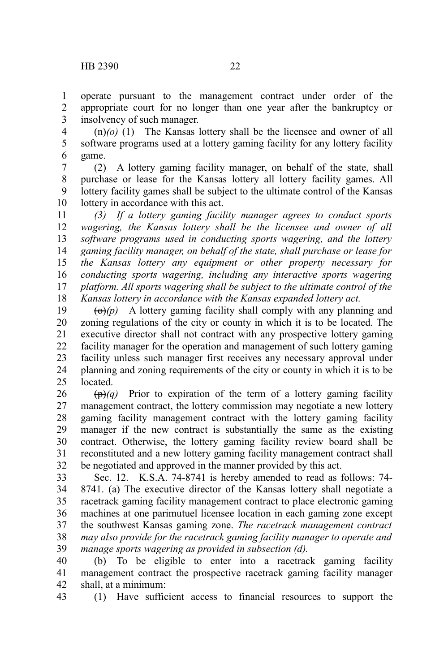operate pursuant to the management contract under order of the appropriate court for no longer than one year after the bankruptcy or insolvency of such manager. 1 2 3

 $\left(\frac{m}{0}\right)(1)$  The Kansas lottery shall be the licensee and owner of all software programs used at a lottery gaming facility for any lottery facility game. 4 5 6

(2) A lottery gaming facility manager, on behalf of the state, shall purchase or lease for the Kansas lottery all lottery facility games. All lottery facility games shall be subject to the ultimate control of the Kansas lottery in accordance with this act. 7 8 9 10

*(3) If a lottery gaming facility manager agrees to conduct sports wagering, the Kansas lottery shall be the licensee and owner of all software programs used in conducting sports wagering, and the lottery gaming facility manager, on behalf of the state, shall purchase or lease for the Kansas lottery any equipment or other property necessary for conducting sports wagering, including any interactive sports wagering platform. All sports wagering shall be subject to the ultimate control of the Kansas lottery in accordance with the Kansas expanded lottery act.* 11 12 13 14 15 16 17 18

 $\left(\Theta\right)(p)$  A lottery gaming facility shall comply with any planning and zoning regulations of the city or county in which it is to be located. The executive director shall not contract with any prospective lottery gaming facility manager for the operation and management of such lottery gaming facility unless such manager first receives any necessary approval under planning and zoning requirements of the city or county in which it is to be located. 19 20 21 22 23 24 25

 $(\theta)$  Prior to expiration of the term of a lottery gaming facility management contract, the lottery commission may negotiate a new lottery gaming facility management contract with the lottery gaming facility manager if the new contract is substantially the same as the existing contract. Otherwise, the lottery gaming facility review board shall be reconstituted and a new lottery gaming facility management contract shall be negotiated and approved in the manner provided by this act. 26 27 28 29 30 31 32

Sec. 12. K.S.A. 74-8741 is hereby amended to read as follows: 74- 8741. (a) The executive director of the Kansas lottery shall negotiate a racetrack gaming facility management contract to place electronic gaming machines at one parimutuel licensee location in each gaming zone except the southwest Kansas gaming zone. *The racetrack management contract may also provide for the racetrack gaming facility manager to operate and manage sports wagering as provided in subsection (d).* 33 34 35 36 37 38 39

(b) To be eligible to enter into a racetrack gaming facility management contract the prospective racetrack gaming facility manager shall, at a minimum: 40 41 42

(1) Have sufficient access to financial resources to support the 43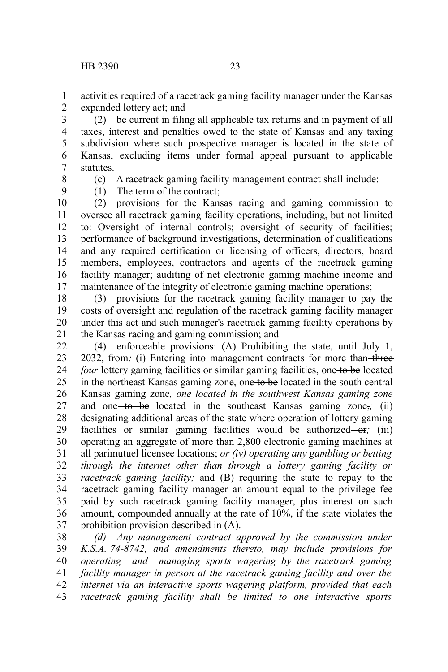activities required of a racetrack gaming facility manager under the Kansas expanded lottery act; and 1 2

(2) be current in filing all applicable tax returns and in payment of all taxes, interest and penalties owed to the state of Kansas and any taxing subdivision where such prospective manager is located in the state of Kansas, excluding items under formal appeal pursuant to applicable statutes. 3 4 5 6 7

8

(c) A racetrack gaming facility management contract shall include:

9

(1) The term of the contract;

(2) provisions for the Kansas racing and gaming commission to oversee all racetrack gaming facility operations, including, but not limited to: Oversight of internal controls; oversight of security of facilities; performance of background investigations, determination of qualifications and any required certification or licensing of officers, directors, board members, employees, contractors and agents of the racetrack gaming facility manager; auditing of net electronic gaming machine income and maintenance of the integrity of electronic gaming machine operations; 10 11 12 13 14 15 16 17

(3) provisions for the racetrack gaming facility manager to pay the costs of oversight and regulation of the racetrack gaming facility manager under this act and such manager's racetrack gaming facility operations by the Kansas racing and gaming commission; and 18 19 20 21

(4) enforceable provisions: (A) Prohibiting the state, until July 1, 2032, from: (i) Entering into management contracts for more than-three*four* lottery gaming facilities or similar gaming facilities, one to be located in the northeast Kansas gaming zone, one to be located in the south central Kansas gaming zone*, one located in the southwest Kansas gaming zone* and one to be located in the southeast Kansas gaming zone,*;* (ii) designating additional areas of the state where operation of lottery gaming facilities or similar gaming facilities would be authorized or<sub>*i*</sub>; (iii) operating an aggregate of more than 2,800 electronic gaming machines at all parimutuel licensee locations; *or (iv) operating any gambling or betting through the internet other than through a lottery gaming facility or racetrack gaming facility;* and (B) requiring the state to repay to the racetrack gaming facility manager an amount equal to the privilege fee paid by such racetrack gaming facility manager, plus interest on such amount, compounded annually at the rate of 10%, if the state violates the prohibition provision described in (A). 22 23 24 25 26 27 28 29 30 31 32 33 34 35 36 37

*(d) Any management contract approved by the commission under K.S.A. 74-8742, and amendments thereto, may include provisions for operating and managing sports wagering by the racetrack gaming facility manager in person at the racetrack gaming facility and over the internet via an interactive sports wagering platform, provided that each racetrack gaming facility shall be limited to one interactive sports* 38 39 40 41 42 43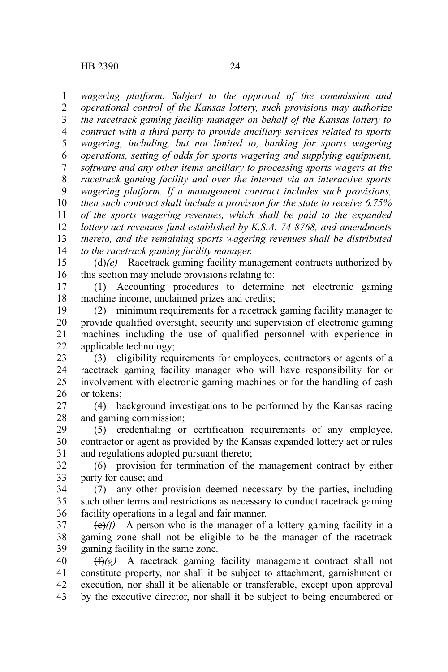*wagering platform. Subject to the approval of the commission and operational control of the Kansas lottery, such provisions may authorize the racetrack gaming facility manager on behalf of the Kansas lottery to contract with a third party to provide ancillary services related to sports wagering, including, but not limited to, banking for sports wagering operations, setting of odds for sports wagering and supplying equipment, software and any other items ancillary to processing sports wagers at the racetrack gaming facility and over the internet via an interactive sports wagering platform. If a management contract includes such provisions, then such contract shall include a provision for the state to receive 6.75% of the sports wagering revenues, which shall be paid to the expanded lottery act revenues fund established by K.S.A. 74-8768, and amendments thereto, and the remaining sports wagering revenues shall be distributed to the racetrack gaming facility manager.* 1 2 3 4 5 6 7 8 9 10 11 12 13 14

(d)*(e)* Racetrack gaming facility management contracts authorized by this section may include provisions relating to: 15 16

(1) Accounting procedures to determine net electronic gaming machine income, unclaimed prizes and credits; 17 18

(2) minimum requirements for a racetrack gaming facility manager to provide qualified oversight, security and supervision of electronic gaming machines including the use of qualified personnel with experience in applicable technology; 19 20 21 22

(3) eligibility requirements for employees, contractors or agents of a racetrack gaming facility manager who will have responsibility for or involvement with electronic gaming machines or for the handling of cash or tokens; 23 24 25 26

(4) background investigations to be performed by the Kansas racing and gaming commission; 27 28

(5) credentialing or certification requirements of any employee, contractor or agent as provided by the Kansas expanded lottery act or rules and regulations adopted pursuant thereto; 29 30 31

(6) provision for termination of the management contract by either party for cause; and 32 33

(7) any other provision deemed necessary by the parties, including such other terms and restrictions as necessary to conduct racetrack gaming facility operations in a legal and fair manner. 34 35 36

(e)*(f)* A person who is the manager of a lottery gaming facility in a gaming zone shall not be eligible to be the manager of the racetrack gaming facility in the same zone. 37 38 39

(f)*(g)* A racetrack gaming facility management contract shall not constitute property, nor shall it be subject to attachment, garnishment or execution, nor shall it be alienable or transferable, except upon approval by the executive director, nor shall it be subject to being encumbered or 40 41 42 43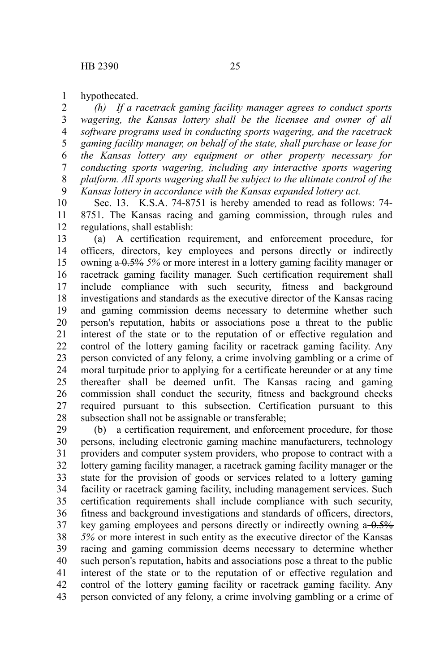hypothecated. 1

*(h) If a racetrack gaming facility manager agrees to conduct sports wagering, the Kansas lottery shall be the licensee and owner of all software programs used in conducting sports wagering, and the racetrack gaming facility manager, on behalf of the state, shall purchase or lease for the Kansas lottery any equipment or other property necessary for conducting sports wagering, including any interactive sports wagering platform. All sports wagering shall be subject to the ultimate control of the Kansas lottery in accordance with the Kansas expanded lottery act.* 2 3 4 5 6 7 8 9

Sec. 13. K.S.A. 74-8751 is hereby amended to read as follows: 74- 8751. The Kansas racing and gaming commission, through rules and regulations, shall establish: 10 11 12

(a) A certification requirement, and enforcement procedure, for officers, directors, key employees and persons directly or indirectly owning a 0.5% *5%* or more interest in a lottery gaming facility manager or racetrack gaming facility manager. Such certification requirement shall include compliance with such security, fitness and background investigations and standards as the executive director of the Kansas racing and gaming commission deems necessary to determine whether such person's reputation, habits or associations pose a threat to the public interest of the state or to the reputation of or effective regulation and control of the lottery gaming facility or racetrack gaming facility. Any person convicted of any felony, a crime involving gambling or a crime of moral turpitude prior to applying for a certificate hereunder or at any time thereafter shall be deemed unfit. The Kansas racing and gaming commission shall conduct the security, fitness and background checks required pursuant to this subsection. Certification pursuant to this subsection shall not be assignable or transferable; 13 14 15 16 17 18 19 20 21 22 23 24 25 26 27 28

(b) a certification requirement, and enforcement procedure, for those persons, including electronic gaming machine manufacturers, technology providers and computer system providers, who propose to contract with a lottery gaming facility manager, a racetrack gaming facility manager or the state for the provision of goods or services related to a lottery gaming facility or racetrack gaming facility, including management services. Such certification requirements shall include compliance with such security, fitness and background investigations and standards of officers, directors, key gaming employees and persons directly or indirectly owning  $a - 0.5\%$ *5%* or more interest in such entity as the executive director of the Kansas racing and gaming commission deems necessary to determine whether such person's reputation, habits and associations pose a threat to the public interest of the state or to the reputation of or effective regulation and control of the lottery gaming facility or racetrack gaming facility. Any person convicted of any felony, a crime involving gambling or a crime of 29 30 31 32 33 34 35 36 37 38 39 40 41 42 43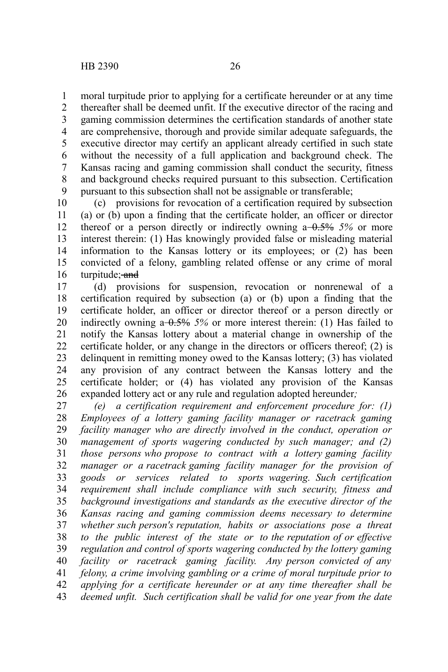moral turpitude prior to applying for a certificate hereunder or at any time thereafter shall be deemed unfit. If the executive director of the racing and gaming commission determines the certification standards of another state are comprehensive, thorough and provide similar adequate safeguards, the executive director may certify an applicant already certified in such state without the necessity of a full application and background check. The Kansas racing and gaming commission shall conduct the security, fitness and background checks required pursuant to this subsection. Certification pursuant to this subsection shall not be assignable or transferable; 1 2 3 4 5 6 7 8 9

(c) provisions for revocation of a certification required by subsection (a) or (b) upon a finding that the certificate holder, an officer or director thereof or a person directly or indirectly owning  $a - 0.5\%$  5% or more interest therein: (1) Has knowingly provided false or misleading material information to the Kansas lottery or its employees; or (2) has been convicted of a felony, gambling related offense or any crime of moral turpitude; and 10 11 12 13 14 15 16

(d) provisions for suspension, revocation or nonrenewal of a certification required by subsection (a) or (b) upon a finding that the certificate holder, an officer or director thereof or a person directly or indirectly owning  $a - 0.5\%$  5% or more interest therein: (1) Has failed to notify the Kansas lottery about a material change in ownership of the certificate holder, or any change in the directors or officers thereof; (2) is delinquent in remitting money owed to the Kansas lottery; (3) has violated any provision of any contract between the Kansas lottery and the certificate holder; or (4) has violated any provision of the Kansas expanded lottery act or any rule and regulation adopted hereunder*;* 17 18 19 20 21 22 23 24 25 26

*(e) a certification requirement and enforcement procedure for: (1) Employees of a lottery gaming facility manager or racetrack gaming facility manager who are directly involved in the conduct, operation or management of sports wagering conducted by such manager; and (2) those persons who propose to contract with a lottery gaming facility manager or a racetrack gaming facility manager for the provision of goods or services related to sports wagering. Such certification requirement shall include compliance with such security, fitness and background investigations and standards as the executive director of the Kansas racing and gaming commission deems necessary to determine whether such person's reputation, habits or associations pose a threat to the public interest of the state or to the reputation of or effective regulation and control of sports wagering conducted by the lottery gaming facility or racetrack gaming facility. Any person convicted of any felony, a crime involving gambling or a crime of moral turpitude prior to applying for a certificate hereunder or at any time thereafter shall be deemed unfit. Such certification shall be valid for one year from the date* 27 28 29 30 31 32 33 34 35 36 37 38 39 40 41 42 43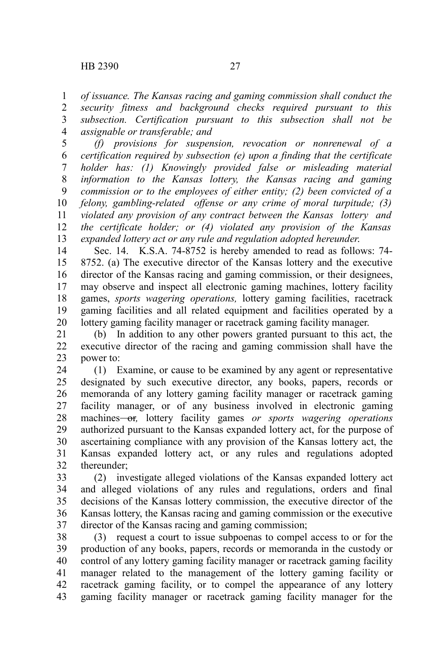*of issuance. The Kansas racing and gaming commission shall conduct the security fitness and background checks required pursuant to this subsection. Certification pursuant to this subsection shall not be assignable or transferable; and* 1 2 3 4

*(f) provisions for suspension, revocation or nonrenewal of a certification required by subsection (e) upon a finding that the certificate holder has: (1) Knowingly provided false or misleading material information to the Kansas lottery, the Kansas racing and gaming commission or to the employees of either entity; (2) been convicted of a felony, gambling-related offense or any crime of moral turpitude; (3) violated any provision of any contract between the Kansas lottery and the certificate holder; or (4) violated any provision of the Kansas expanded lottery act or any rule and regulation adopted hereunder*. 5 6 7 8 9 10 11 12 13

Sec. 14. K.S.A. 74-8752 is hereby amended to read as follows: 74- 8752. (a) The executive director of the Kansas lottery and the executive director of the Kansas racing and gaming commission, or their designees, may observe and inspect all electronic gaming machines, lottery facility games, *sports wagering operations,* lottery gaming facilities, racetrack gaming facilities and all related equipment and facilities operated by a lottery gaming facility manager or racetrack gaming facility manager. 14 15 16 17 18 19 20

(b) In addition to any other powers granted pursuant to this act, the executive director of the racing and gaming commission shall have the power to: 21 22 23

(1) Examine, or cause to be examined by any agent or representative designated by such executive director, any books, papers, records or memoranda of any lottery gaming facility manager or racetrack gaming facility manager, or of any business involved in electronic gaming machines<del> or</del>, lottery facility games *or sports wagering operations* authorized pursuant to the Kansas expanded lottery act, for the purpose of ascertaining compliance with any provision of the Kansas lottery act, the Kansas expanded lottery act, or any rules and regulations adopted thereunder; 24 25 26 27 28 29 30 31 32

(2) investigate alleged violations of the Kansas expanded lottery act and alleged violations of any rules and regulations, orders and final decisions of the Kansas lottery commission, the executive director of the Kansas lottery, the Kansas racing and gaming commission or the executive director of the Kansas racing and gaming commission; 33 34 35 36 37

(3) request a court to issue subpoenas to compel access to or for the production of any books, papers, records or memoranda in the custody or control of any lottery gaming facility manager or racetrack gaming facility manager related to the management of the lottery gaming facility or racetrack gaming facility, or to compel the appearance of any lottery gaming facility manager or racetrack gaming facility manager for the 38 39 40 41 42 43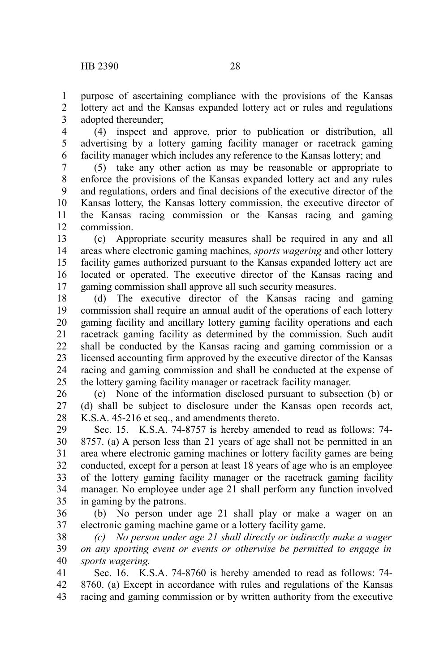purpose of ascertaining compliance with the provisions of the Kansas lottery act and the Kansas expanded lottery act or rules and regulations adopted thereunder; 1 2 3

(4) inspect and approve, prior to publication or distribution, all advertising by a lottery gaming facility manager or racetrack gaming facility manager which includes any reference to the Kansas lottery; and 4 5 6

(5) take any other action as may be reasonable or appropriate to enforce the provisions of the Kansas expanded lottery act and any rules and regulations, orders and final decisions of the executive director of the Kansas lottery, the Kansas lottery commission, the executive director of the Kansas racing commission or the Kansas racing and gaming commission. 7 8 9 10 11 12

(c) Appropriate security measures shall be required in any and all areas where electronic gaming machines*, sports wagering* and other lottery facility games authorized pursuant to the Kansas expanded lottery act are located or operated. The executive director of the Kansas racing and gaming commission shall approve all such security measures. 13 14 15 16 17

(d) The executive director of the Kansas racing and gaming commission shall require an annual audit of the operations of each lottery gaming facility and ancillary lottery gaming facility operations and each racetrack gaming facility as determined by the commission. Such audit shall be conducted by the Kansas racing and gaming commission or a licensed accounting firm approved by the executive director of the Kansas racing and gaming commission and shall be conducted at the expense of the lottery gaming facility manager or racetrack facility manager. 18 19 20 21 22 23 24 25

(e) None of the information disclosed pursuant to subsection (b) or (d) shall be subject to disclosure under the Kansas open records act, K.S.A. 45-216 et seq., and amendments thereto. 26 27 28

Sec. 15. K.S.A. 74-8757 is hereby amended to read as follows: 74- 8757. (a) A person less than 21 years of age shall not be permitted in an area where electronic gaming machines or lottery facility games are being conducted, except for a person at least 18 years of age who is an employee of the lottery gaming facility manager or the racetrack gaming facility manager. No employee under age 21 shall perform any function involved in gaming by the patrons. 29 30 31 32 33 34 35

(b) No person under age 21 shall play or make a wager on an electronic gaming machine game or a lottery facility game. 36 37

*(c) No person under age 21 shall directly or indirectly make a wager on any sporting event or events or otherwise be permitted to engage in sports wagering.* 38 39 40

Sec. 16. K.S.A. 74-8760 is hereby amended to read as follows: 74- 8760. (a) Except in accordance with rules and regulations of the Kansas racing and gaming commission or by written authority from the executive 41 42 43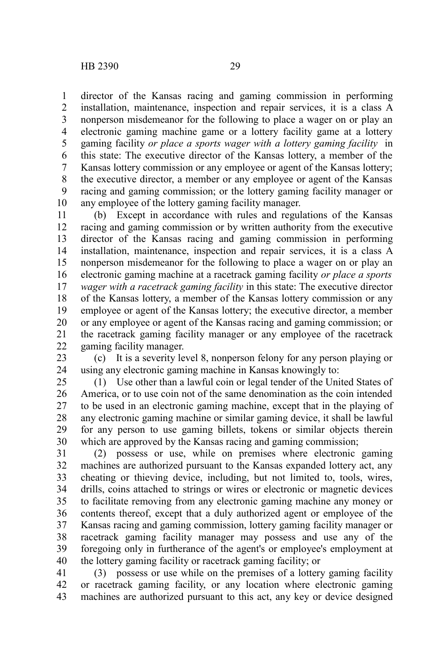director of the Kansas racing and gaming commission in performing installation, maintenance, inspection and repair services, it is a class A nonperson misdemeanor for the following to place a wager on or play an electronic gaming machine game or a lottery facility game at a lottery gaming facility *or place a sports wager with a lottery gaming facility* in this state: The executive director of the Kansas lottery, a member of the Kansas lottery commission or any employee or agent of the Kansas lottery; the executive director, a member or any employee or agent of the Kansas racing and gaming commission; or the lottery gaming facility manager or any employee of the lottery gaming facility manager. 1 2 3 4 5 6 7 8 9 10

(b) Except in accordance with rules and regulations of the Kansas racing and gaming commission or by written authority from the executive director of the Kansas racing and gaming commission in performing installation, maintenance, inspection and repair services, it is a class A nonperson misdemeanor for the following to place a wager on or play an electronic gaming machine at a racetrack gaming facility *or place a sports wager with a racetrack gaming facility* in this state: The executive director of the Kansas lottery, a member of the Kansas lottery commission or any employee or agent of the Kansas lottery; the executive director, a member or any employee or agent of the Kansas racing and gaming commission; or the racetrack gaming facility manager or any employee of the racetrack gaming facility manager. 11 12 13 14 15 16 17 18 19 20 21 22

(c) It is a severity level 8, nonperson felony for any person playing or using any electronic gaming machine in Kansas knowingly to: 23 24

(1) Use other than a lawful coin or legal tender of the United States of America, or to use coin not of the same denomination as the coin intended to be used in an electronic gaming machine, except that in the playing of any electronic gaming machine or similar gaming device, it shall be lawful for any person to use gaming billets, tokens or similar objects therein which are approved by the Kansas racing and gaming commission; 25 26 27 28 29 30

(2) possess or use, while on premises where electronic gaming machines are authorized pursuant to the Kansas expanded lottery act, any cheating or thieving device, including, but not limited to, tools, wires, drills, coins attached to strings or wires or electronic or magnetic devices to facilitate removing from any electronic gaming machine any money or contents thereof, except that a duly authorized agent or employee of the Kansas racing and gaming commission, lottery gaming facility manager or racetrack gaming facility manager may possess and use any of the foregoing only in furtherance of the agent's or employee's employment at the lottery gaming facility or racetrack gaming facility; or 31 32 33 34 35 36 37 38 39 40

(3) possess or use while on the premises of a lottery gaming facility or racetrack gaming facility, or any location where electronic gaming machines are authorized pursuant to this act, any key or device designed 41 42 43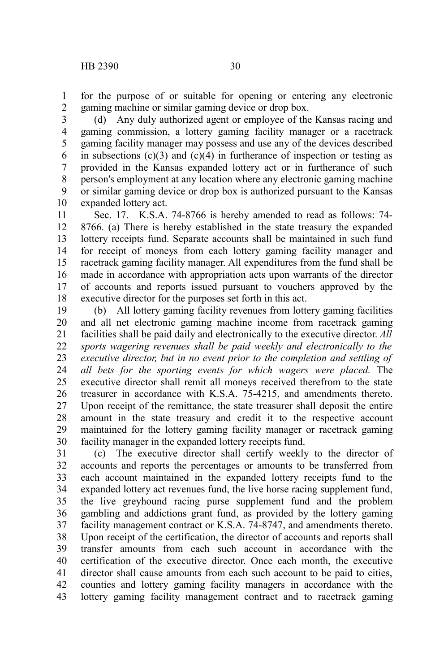for the purpose of or suitable for opening or entering any electronic gaming machine or similar gaming device or drop box. 1 2

(d) Any duly authorized agent or employee of the Kansas racing and gaming commission, a lottery gaming facility manager or a racetrack gaming facility manager may possess and use any of the devices described in subsections  $(c)(3)$  and  $(c)(4)$  in furtherance of inspection or testing as provided in the Kansas expanded lottery act or in furtherance of such person's employment at any location where any electronic gaming machine or similar gaming device or drop box is authorized pursuant to the Kansas expanded lottery act. 3 4 5 6 7 8 9 10

Sec. 17. K.S.A. 74-8766 is hereby amended to read as follows: 74- 8766. (a) There is hereby established in the state treasury the expanded lottery receipts fund. Separate accounts shall be maintained in such fund for receipt of moneys from each lottery gaming facility manager and racetrack gaming facility manager. All expenditures from the fund shall be made in accordance with appropriation acts upon warrants of the director of accounts and reports issued pursuant to vouchers approved by the executive director for the purposes set forth in this act. 11 12 13 14 15 16 17 18

(b) All lottery gaming facility revenues from lottery gaming facilities and all net electronic gaming machine income from racetrack gaming facilities shall be paid daily and electronically to the executive director. *All sports wagering revenues shall be paid weekly and electronically to the executive director, but in no event prior to the completion and settling of all bets for the sporting events for which wagers were placed.* The executive director shall remit all moneys received therefrom to the state treasurer in accordance with K.S.A. 75-4215, and amendments thereto. Upon receipt of the remittance, the state treasurer shall deposit the entire amount in the state treasury and credit it to the respective account maintained for the lottery gaming facility manager or racetrack gaming facility manager in the expanded lottery receipts fund. 19 20 21 22 23 24 25 26 27 28 29 30

(c) The executive director shall certify weekly to the director of accounts and reports the percentages or amounts to be transferred from each account maintained in the expanded lottery receipts fund to the expanded lottery act revenues fund, the live horse racing supplement fund, the live greyhound racing purse supplement fund and the problem gambling and addictions grant fund, as provided by the lottery gaming facility management contract or K.S.A. 74-8747, and amendments thereto. Upon receipt of the certification, the director of accounts and reports shall transfer amounts from each such account in accordance with the certification of the executive director. Once each month, the executive director shall cause amounts from each such account to be paid to cities, counties and lottery gaming facility managers in accordance with the lottery gaming facility management contract and to racetrack gaming 31 32 33 34 35 36 37 38 39 40 41 42 43